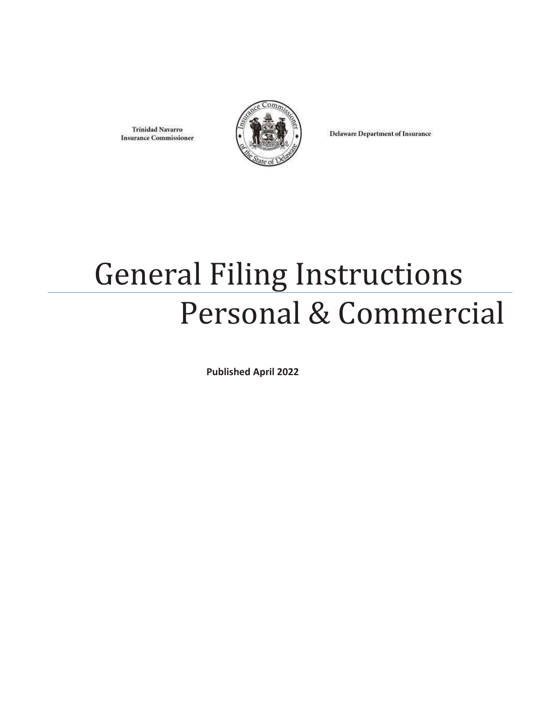**Trinidad Navarro Insurance Commissioner** 



**Delaware Department of Insurance** 

# General Filing Instructions Personal & Commercial

**Published April 2022**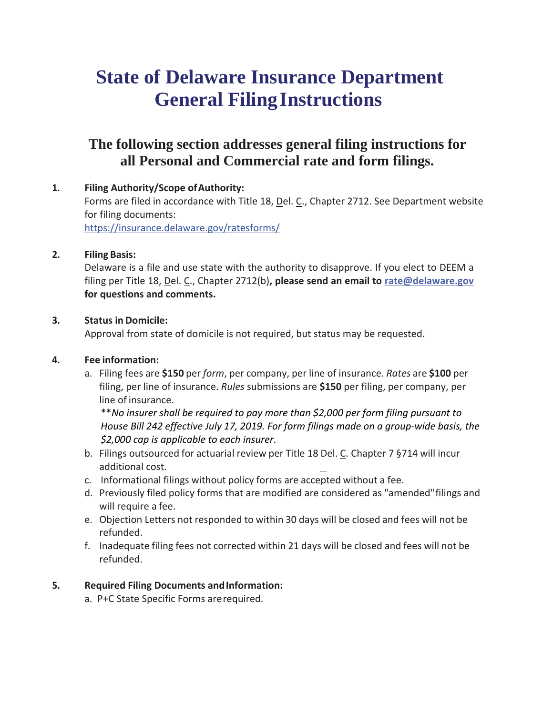## **State of Delaware Insurance Department General FilingInstructions**

### **The following section addresses general filing instructions for all Personal and Commercial rate and form filings.**

**1. Filing Authority/Scope ofAuthority:** Forms are filed in accordance with Title 18, Del. C., Chapter 2712. See Department website for filing documents: https://insurance.delaware.gov/ratesforms/

#### **2. Filing Basis:**

Delaware is a file and use state with the authority to disapprove. If you elect to DEEM a filing per Title 18, Del. C., Chapter 2712(b)**, please send an email to [rate@delaware.gov](mailto:rate@delaware.gov) for questions and comments.**

#### **3. Status in Domicile:**

Approval from state of domicile is not required, but status may be requested.

#### **4. Fee information:**

a. Filing fees are **\$150** per *form*, per company, per line of insurance. *Rates* are **\$100** per filing, per line of insurance. *Rules* submissions are **\$150** per filing, per company, per line of insurance.

\*\**No insurer shall be required to pay more than \$2,000 per form filing pursuant to House Bill 242 effective July 17, 2019. For form filings made on a group-wide basis, the \$2,000 cap is applicable to each insurer*.

- b. Filings outsourced for actuarial review per Title 18 Del. C. Chapter 7 §714 will incur additional cost.
- c. Informational filings without policy forms are accepted without a fee.
- d. Previously filed policy forms that are modified are considered as "amended"filings and will require a fee.
- e. Objection Letters not responded to within 30 days will be closed and fees will not be refunded.
- f. Inadequate filing fees not corrected within 21 days will be closed and fees will not be refunded.

#### **5. Required Filing Documents andInformation:**

a. P+C State Specific Forms arerequired.